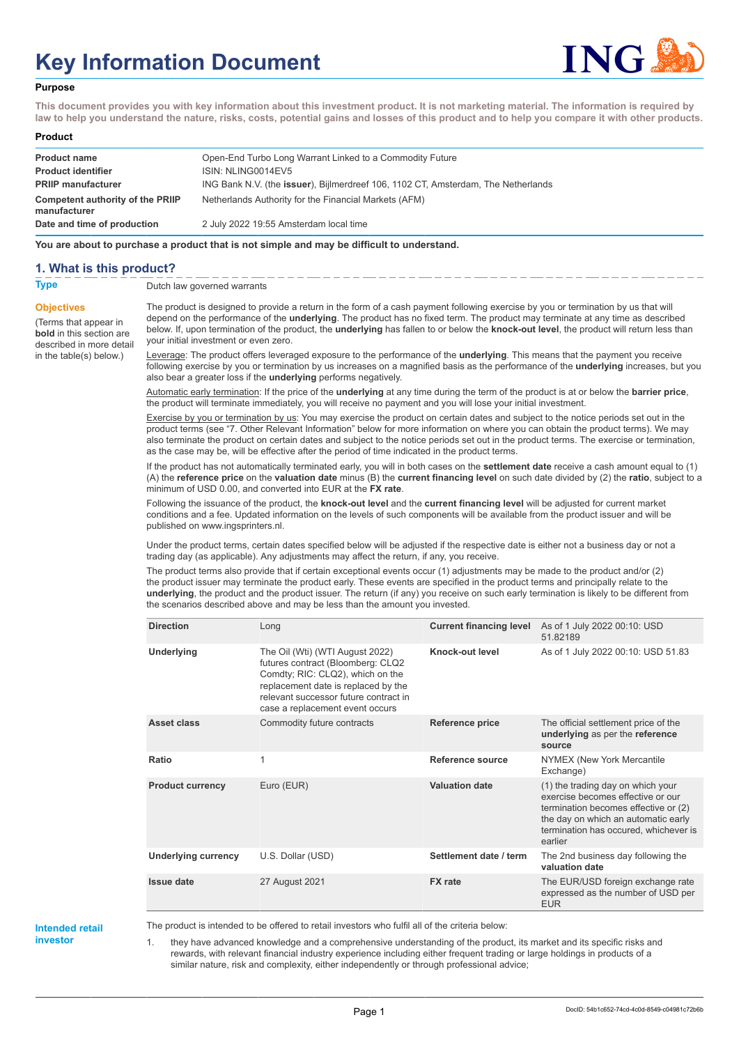# **Key Information Document**



#### **Purpose**

**This document provides you with key information about this investment product. It is not marketing material. The information is required by law to help you understand the nature, risks, costs, potential gains and losses of this product and to help you compare it with other products.**

#### **Product**

| <b>Product name</b>                                     | Open-End Turbo Long Warrant Linked to a Commodity Future                          |
|---------------------------------------------------------|-----------------------------------------------------------------------------------|
| <b>Product identifier</b>                               | ISIN: NLING0014EV5                                                                |
| <b>PRIIP manufacturer</b>                               | ING Bank N.V. (the issuer), Bijlmerdreef 106, 1102 CT, Amsterdam, The Netherlands |
| <b>Competent authority of the PRIIP</b><br>manufacturer | Netherlands Authority for the Financial Markets (AFM)                             |
| Date and time of production                             | 2 July 2022 19:55 Amsterdam local time                                            |

**You are about to purchase a product that is not simple and may be difficult to understand.**

#### **1. What is this product?**

**Objectives**

(Terms that appear in **bold** in this section are

in the table(s) below.)

**Type** Dutch law governed warrants

described in more detail The product is designed to provide a return in the form of a cash payment following exercise by you or termination by us that will depend on the performance of the **underlying**. The product has no fixed term. The product may terminate at any time as described below. If, upon termination of the product, the **underlying** has fallen to or below the **knock-out level**, the product will return less than your initial investment or even zero.

> Leverage: The product offers leveraged exposure to the performance of the **underlying**. This means that the payment you receive following exercise by you or termination by us increases on a magnified basis as the performance of the **underlying** increases, but you also bear a greater loss if the **underlying** performs negatively.

Automatic early termination: If the price of the **underlying** at any time during the term of the product is at or below the **barrier price**, the product will terminate immediately, you will receive no payment and you will lose your initial investment.

Exercise by you or termination by us: You may exercise the product on certain dates and subject to the notice periods set out in the product terms (see "7. Other Relevant Information" below for more information on where you can obtain the product terms). We may also terminate the product on certain dates and subject to the notice periods set out in the product terms. The exercise or termination, as the case may be, will be effective after the period of time indicated in the product terms.

If the product has not automatically terminated early, you will in both cases on the **settlement date** receive a cash amount equal to (1) (A) the **reference price** on the **valuation date** minus (B) the **current financing level** on such date divided by (2) the **ratio**, subject to a minimum of USD 0.00, and converted into EUR at the **FX rate**.

Following the issuance of the product, the **knock-out level** and the **current financing level** will be adjusted for current market conditions and a fee. Updated information on the levels of such components will be available from the product issuer and will be published on www.ingsprinters.nl.

Under the product terms, certain dates specified below will be adjusted if the respective date is either not a business day or not a trading day (as applicable). Any adjustments may affect the return, if any, you receive.

The product terms also provide that if certain exceptional events occur (1) adjustments may be made to the product and/or (2) the product issuer may terminate the product early. These events are specified in the product terms and principally relate to the **underlying**, the product and the product issuer. The return (if any) you receive on such early termination is likely to be different from the scenarios described above and may be less than the amount you invested.

| <b>Direction</b>           | Long                                                                                                                                                                                                                        | <b>Current financing level</b> | As of 1 July 2022 00:10: USD<br>51.82189                                                                                                                                                                  |
|----------------------------|-----------------------------------------------------------------------------------------------------------------------------------------------------------------------------------------------------------------------------|--------------------------------|-----------------------------------------------------------------------------------------------------------------------------------------------------------------------------------------------------------|
| <b>Underlying</b>          | The Oil (Wti) (WTI August 2022)<br>futures contract (Bloomberg: CLQ2<br>Comdty; RIC: CLQ2), which on the<br>replacement date is replaced by the<br>relevant successor future contract in<br>case a replacement event occurs | Knock-out level                | As of 1 July 2022 00:10: USD 51.83                                                                                                                                                                        |
| Asset class                | Commodity future contracts                                                                                                                                                                                                  | <b>Reference price</b>         | The official settlement price of the<br>underlying as per the reference<br>source                                                                                                                         |
| Ratio                      | $\mathbf{1}$                                                                                                                                                                                                                | Reference source               | NYMEX (New York Mercantile<br>Exchange)                                                                                                                                                                   |
| <b>Product currency</b>    | Euro (EUR)                                                                                                                                                                                                                  | <b>Valuation date</b>          | (1) the trading day on which your<br>exercise becomes effective or our<br>termination becomes effective or (2)<br>the day on which an automatic early<br>termination has occured, whichever is<br>earlier |
| <b>Underlying currency</b> | U.S. Dollar (USD)                                                                                                                                                                                                           | Settlement date / term         | The 2nd business day following the<br>valuation date                                                                                                                                                      |
| <b>Issue date</b>          | 27 August 2021                                                                                                                                                                                                              | <b>FX</b> rate                 | The EUR/USD foreign exchange rate<br>expressed as the number of USD per<br><b>EUR</b>                                                                                                                     |

**Intended retail investor**

The product is intended to be offered to retail investors who fulfil all of the criteria below:

1. they have advanced knowledge and a comprehensive understanding of the product, its market and its specific risks and rewards, with relevant financial industry experience including either frequent trading or large holdings in products of a similar nature, risk and complexity, either independently or through professional advice;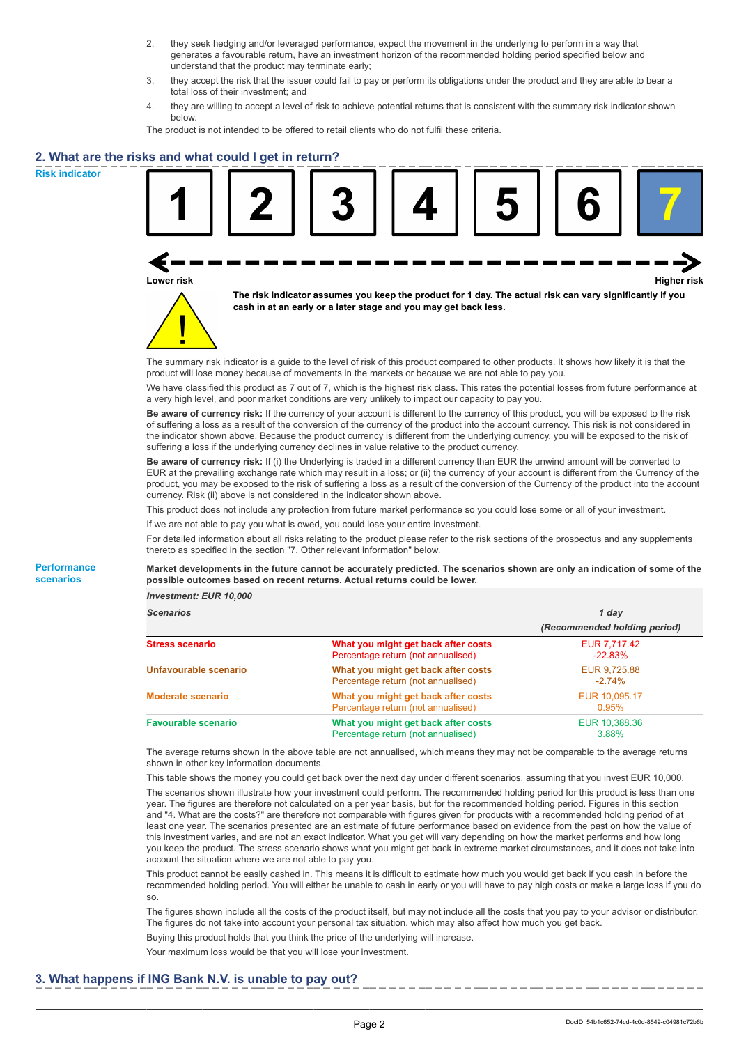- 2. they seek hedging and/or leveraged performance, expect the movement in the underlying to perform in a way that generates a favourable return, have an investment horizon of the recommended holding period specified below and understand that the product may terminate early;
- 3. they accept the risk that the issuer could fail to pay or perform its obligations under the product and they are able to bear a total loss of their investment; and
- 4. they are willing to accept a level of risk to achieve potential returns that is consistent with the summary risk indicator shown below.

The product is not intended to be offered to retail clients who do not fulfil these criteria.

## **2. What are the risks and what could I get in return?**

**Risk indicator**

**Performance scenarios**





**The risk indicator assumes you keep the product for 1 day. The actual risk can vary significantly if you cash in at an early or a later stage and you may get back less.**

The summary risk indicator is a guide to the level of risk of this product compared to other products. It shows how likely it is that the product will lose money because of movements in the markets or because we are not able to pay you.

We have classified this product as 7 out of 7, which is the highest risk class. This rates the potential losses from future performance at a very high level, and poor market conditions are very unlikely to impact our capacity to pay you.

**Be aware of currency risk:** If the currency of your account is different to the currency of this product, you will be exposed to the risk of suffering a loss as a result of the conversion of the currency of the product into the account currency. This risk is not considered in the indicator shown above. Because the product currency is different from the underlying currency, you will be exposed to the risk of suffering a loss if the underlying currency declines in value relative to the product currency.

**Be aware of currency risk:** If (i) the Underlying is traded in a different currency than EUR the unwind amount will be converted to EUR at the prevailing exchange rate which may result in a loss; or (ii) the currency of your account is different from the Currency of the product, you may be exposed to the risk of suffering a loss as a result of the conversion of the Currency of the product into the account currency. Risk (ii) above is not considered in the indicator shown above.

This product does not include any protection from future market performance so you could lose some or all of your investment.

If we are not able to pay you what is owed, you could lose your entire investment.

For detailed information about all risks relating to the product please refer to the risk sections of the prospectus and any supplements thereto as specified in the section "7. Other relevant information" below.

**Market developments in the future cannot be accurately predicted. The scenarios shown are only an indication of some of the possible outcomes based on recent returns. Actual returns could be lower.**

*Investment: EUR 10,000*

| <b>Scenarios</b>           |                                                                           | 1 day                        |  |
|----------------------------|---------------------------------------------------------------------------|------------------------------|--|
|                            |                                                                           | (Recommended holding period) |  |
| Stress scenario            | What you might get back after costs<br>Percentage return (not annualised) | EUR 7,717.42<br>$-22.83\%$   |  |
| Unfavourable scenario      | What you might get back after costs<br>Percentage return (not annualised) | EUR 9,725.88<br>$-2.74\%$    |  |
| <b>Moderate scenario</b>   | What you might get back after costs<br>Percentage return (not annualised) | EUR 10.095.17<br>0.95%       |  |
| <b>Favourable scenario</b> | What you might get back after costs<br>Percentage return (not annualised) | EUR 10,388.36<br>3.88%       |  |

The average returns shown in the above table are not annualised, which means they may not be comparable to the average returns shown in other key information documents.

This table shows the money you could get back over the next day under different scenarios, assuming that you invest EUR 10,000. The scenarios shown illustrate how your investment could perform. The recommended holding period for this product is less than one year. The figures are therefore not calculated on a per year basis, but for the recommended holding period. Figures in this section and "4. What are the costs?" are therefore not comparable with figures given for products with a recommended holding period of at least one year. The scenarios presented are an estimate of future performance based on evidence from the past on how the value of this investment varies, and are not an exact indicator. What you get will vary depending on how the market performs and how long you keep the product. The stress scenario shows what you might get back in extreme market circumstances, and it does not take into account the situation where we are not able to pay you.

This product cannot be easily cashed in. This means it is difficult to estimate how much you would get back if you cash in before the recommended holding period. You will either be unable to cash in early or you will have to pay high costs or make a large loss if you do so.

The figures shown include all the costs of the product itself, but may not include all the costs that you pay to your advisor or distributor. The figures do not take into account your personal tax situation, which may also affect how much you get back.

Buying this product holds that you think the price of the underlying will increase.

Your maximum loss would be that you will lose your investment.

#### **3. What happens if ING Bank N.V. is unable to pay out?**